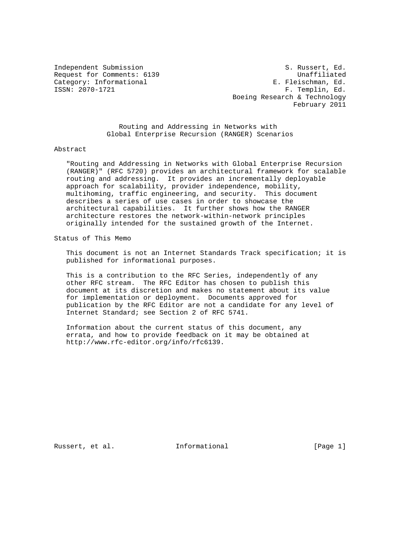Category: Informational<br>ISSN: 2070-1721

Independent Submission S. Russert, Ed. Request for Comments: 6139 Unaffiliated F. Templin, Ed. Boeing Research & Technology February 2011

> Routing and Addressing in Networks with Global Enterprise Recursion (RANGER) Scenarios

Abstract

 "Routing and Addressing in Networks with Global Enterprise Recursion (RANGER)" (RFC 5720) provides an architectural framework for scalable routing and addressing. It provides an incrementally deployable approach for scalability, provider independence, mobility, multihoming, traffic engineering, and security. This document describes a series of use cases in order to showcase the architectural capabilities. It further shows how the RANGER architecture restores the network-within-network principles originally intended for the sustained growth of the Internet.

Status of This Memo

 This document is not an Internet Standards Track specification; it is published for informational purposes.

 This is a contribution to the RFC Series, independently of any other RFC stream. The RFC Editor has chosen to publish this document at its discretion and makes no statement about its value for implementation or deployment. Documents approved for publication by the RFC Editor are not a candidate for any level of Internet Standard; see Section 2 of RFC 5741.

 Information about the current status of this document, any errata, and how to provide feedback on it may be obtained at http://www.rfc-editor.org/info/rfc6139.

Russert, et al. Informational [Page 1]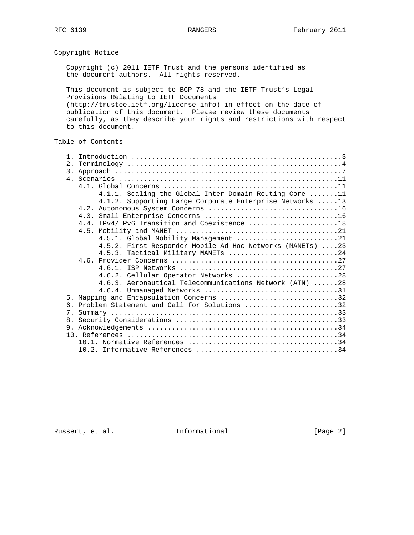Copyright Notice

 Copyright (c) 2011 IETF Trust and the persons identified as the document authors. All rights reserved.

 This document is subject to BCP 78 and the IETF Trust's Legal Provisions Relating to IETF Documents (http://trustee.ietf.org/license-info) in effect on the date of publication of this document. Please review these documents carefully, as they describe your rights and restrictions with respect to this document.

# Table of Contents

| 3.          |                                                                   |
|-------------|-------------------------------------------------------------------|
|             |                                                                   |
|             |                                                                   |
|             | 4.1.1. Scaling the Global Inter-Domain Routing Core 11            |
|             | 4.1.2. Supporting Large Corporate Enterprise Networks $\dots$ .13 |
|             |                                                                   |
|             |                                                                   |
|             |                                                                   |
|             | 4.4. IPv4/IPv6 Transition and Coexistence 18                      |
|             |                                                                   |
|             | 4.5.1. Global Mobility Management 21                              |
|             | 4.5.2. First-Responder Mobile Ad Hoc Networks (MANETs) 23         |
|             | 4.5.3. Tactical Military MANETs 24                                |
|             |                                                                   |
|             |                                                                   |
|             | 4.6.2. Cellular Operator Networks 28                              |
|             | 4.6.3. Aeronautical Telecommunications Network (ATN) 28           |
|             |                                                                   |
|             | 5. Mapping and Encapsulation Concerns 32                          |
| б.          | Problem Statement and Call for Solutions 32                       |
| $7_{\circ}$ |                                                                   |
| 8.          |                                                                   |
|             |                                                                   |
|             |                                                                   |
|             |                                                                   |
|             |                                                                   |
|             |                                                                   |

Russert, et al. 1nformational [Page 2]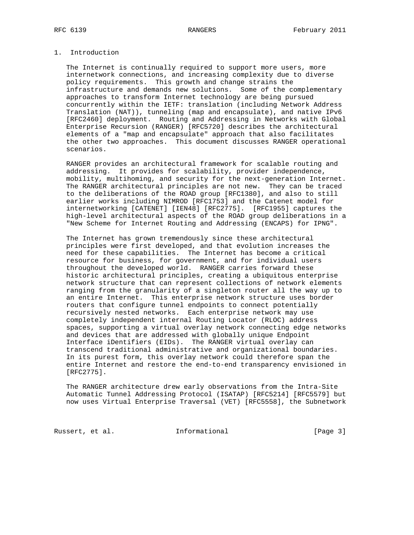# 1. Introduction

 The Internet is continually required to support more users, more internetwork connections, and increasing complexity due to diverse policy requirements. This growth and change strains the infrastructure and demands new solutions. Some of the complementary approaches to transform Internet technology are being pursued concurrently within the IETF: translation (including Network Address Translation (NAT)), tunneling (map and encapsulate), and native IPv6 [RFC2460] deployment. Routing and Addressing in Networks with Global Enterprise Recursion (RANGER) [RFC5720] describes the architectural elements of a "map and encapsulate" approach that also facilitates the other two approaches. This document discusses RANGER operational scenarios.

 RANGER provides an architectural framework for scalable routing and addressing. It provides for scalability, provider independence, mobility, multihoming, and security for the next-generation Internet. The RANGER architectural principles are not new. They can be traced to the deliberations of the ROAD group [RFC1380], and also to still earlier works including NIMROD [RFC1753] and the Catenet model for internetworking [CATENET] [IEN48] [RFC2775]. [RFC1955] captures the high-level architectural aspects of the ROAD group deliberations in a "New Scheme for Internet Routing and Addressing (ENCAPS) for IPNG".

 The Internet has grown tremendously since these architectural principles were first developed, and that evolution increases the need for these capabilities. The Internet has become a critical resource for business, for government, and for individual users throughout the developed world. RANGER carries forward these historic architectural principles, creating a ubiquitous enterprise network structure that can represent collections of network elements ranging from the granularity of a singleton router all the way up to an entire Internet. This enterprise network structure uses border routers that configure tunnel endpoints to connect potentially recursively nested networks. Each enterprise network may use completely independent internal Routing Locator (RLOC) address spaces, supporting a virtual overlay network connecting edge networks and devices that are addressed with globally unique Endpoint Interface iDentifiers (EIDs). The RANGER virtual overlay can transcend traditional administrative and organizational boundaries. In its purest form, this overlay network could therefore span the entire Internet and restore the end-to-end transparency envisioned in [RFC2775].

 The RANGER architecture drew early observations from the Intra-Site Automatic Tunnel Addressing Protocol (ISATAP) [RFC5214] [RFC5579] but now uses Virtual Enterprise Traversal (VET) [RFC5558], the Subnetwork

Russert, et al. 1nformational [Page 3]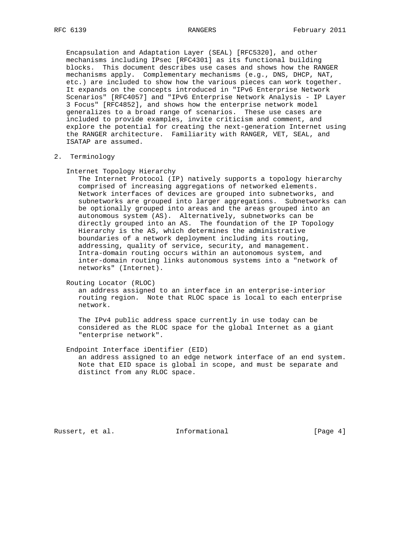Encapsulation and Adaptation Layer (SEAL) [RFC5320], and other mechanisms including IPsec [RFC4301] as its functional building blocks. This document describes use cases and shows how the RANGER mechanisms apply. Complementary mechanisms (e.g., DNS, DHCP, NAT, etc.) are included to show how the various pieces can work together. It expands on the concepts introduced in "IPv6 Enterprise Network Scenarios" [RFC4057] and "IPv6 Enterprise Network Analysis - IP Layer 3 Focus" [RFC4852], and shows how the enterprise network model generalizes to a broad range of scenarios. These use cases are included to provide examples, invite criticism and comment, and explore the potential for creating the next-generation Internet using the RANGER architecture. Familiarity with RANGER, VET, SEAL, and ISATAP are assumed.

### 2. Terminology

Internet Topology Hierarchy

 The Internet Protocol (IP) natively supports a topology hierarchy comprised of increasing aggregations of networked elements. Network interfaces of devices are grouped into subnetworks, and subnetworks are grouped into larger aggregations. Subnetworks can be optionally grouped into areas and the areas grouped into an autonomous system (AS). Alternatively, subnetworks can be directly grouped into an AS. The foundation of the IP Topology Hierarchy is the AS, which determines the administrative boundaries of a network deployment including its routing, addressing, quality of service, security, and management. Intra-domain routing occurs within an autonomous system, and inter-domain routing links autonomous systems into a "network of networks" (Internet).

Routing Locator (RLOC)

 an address assigned to an interface in an enterprise-interior routing region. Note that RLOC space is local to each enterprise network.

 The IPv4 public address space currently in use today can be considered as the RLOC space for the global Internet as a giant "enterprise network".

Endpoint Interface iDentifier (EID)

 an address assigned to an edge network interface of an end system. Note that EID space is global in scope, and must be separate and distinct from any RLOC space.

Russert, et al. **Informational** [Page 4]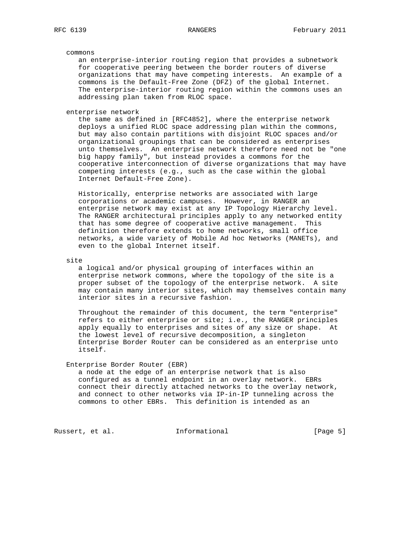### commons

 an enterprise-interior routing region that provides a subnetwork for cooperative peering between the border routers of diverse organizations that may have competing interests. An example of a commons is the Default-Free Zone (DFZ) of the global Internet. The enterprise-interior routing region within the commons uses an addressing plan taken from RLOC space.

enterprise network

 the same as defined in [RFC4852], where the enterprise network deploys a unified RLOC space addressing plan within the commons, but may also contain partitions with disjoint RLOC spaces and/or organizational groupings that can be considered as enterprises unto themselves. An enterprise network therefore need not be "one big happy family", but instead provides a commons for the cooperative interconnection of diverse organizations that may have competing interests (e.g., such as the case within the global Internet Default-Free Zone).

 Historically, enterprise networks are associated with large corporations or academic campuses. However, in RANGER an enterprise network may exist at any IP Topology Hierarchy level. The RANGER architectural principles apply to any networked entity that has some degree of cooperative active management. This definition therefore extends to home networks, small office networks, a wide variety of Mobile Ad hoc Networks (MANETs), and even to the global Internet itself.

## site

 a logical and/or physical grouping of interfaces within an enterprise network commons, where the topology of the site is a proper subset of the topology of the enterprise network. A site may contain many interior sites, which may themselves contain many interior sites in a recursive fashion.

 Throughout the remainder of this document, the term "enterprise" refers to either enterprise or site; i.e., the RANGER principles apply equally to enterprises and sites of any size or shape. At the lowest level of recursive decomposition, a singleton Enterprise Border Router can be considered as an enterprise unto itself.

### Enterprise Border Router (EBR)

 a node at the edge of an enterprise network that is also configured as a tunnel endpoint in an overlay network. EBRs connect their directly attached networks to the overlay network, and connect to other networks via IP-in-IP tunneling across the commons to other EBRs. This definition is intended as an

Russert, et al. 1nformational [Page 5]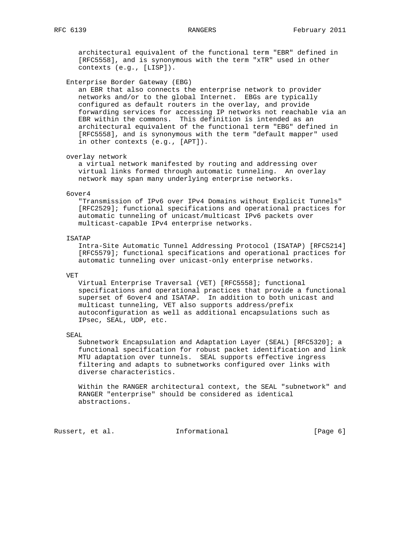architectural equivalent of the functional term "EBR" defined in [RFC5558], and is synonymous with the term "xTR" used in other contexts (e.g., [LISP]).

### Enterprise Border Gateway (EBG)

 an EBR that also connects the enterprise network to provider networks and/or to the global Internet. EBGs are typically configured as default routers in the overlay, and provide forwarding services for accessing IP networks not reachable via an EBR within the commons. This definition is intended as an architectural equivalent of the functional term "EBG" defined in [RFC5558], and is synonymous with the term "default mapper" used in other contexts (e.g., [APT]).

overlay network

 a virtual network manifested by routing and addressing over virtual links formed through automatic tunneling. An overlay network may span many underlying enterprise networks.

### 6over4

 "Transmission of IPv6 over IPv4 Domains without Explicit Tunnels" [RFC2529]; functional specifications and operational practices for automatic tunneling of unicast/multicast IPv6 packets over multicast-capable IPv4 enterprise networks.

## ISATAP

 Intra-Site Automatic Tunnel Addressing Protocol (ISATAP) [RFC5214] [RFC5579]; functional specifications and operational practices for automatic tunneling over unicast-only enterprise networks.

### VET

 Virtual Enterprise Traversal (VET) [RFC5558]; functional specifications and operational practices that provide a functional superset of 6over4 and ISATAP. In addition to both unicast and multicast tunneling, VET also supports address/prefix autoconfiguration as well as additional encapsulations such as IPsec, SEAL, UDP, etc.

SEAL

 Subnetwork Encapsulation and Adaptation Layer (SEAL) [RFC5320]; a functional specification for robust packet identification and link MTU adaptation over tunnels. SEAL supports effective ingress filtering and adapts to subnetworks configured over links with diverse characteristics.

 Within the RANGER architectural context, the SEAL "subnetwork" and RANGER "enterprise" should be considered as identical abstractions.

Russert, et al. **Informational** [Page 6]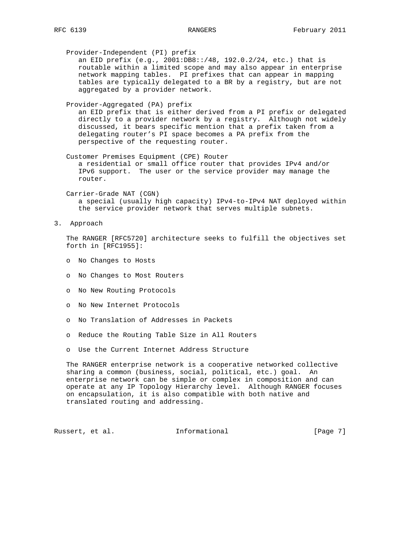Provider-Independent (PI) prefix an EID prefix (e.g., 2001:DB8::/48, 192.0.2/24, etc.) that is routable within a limited scope and may also appear in enterprise network mapping tables. PI prefixes that can appear in mapping tables are typically delegated to a BR by a registry, but are not aggregated by a provider network. Provider-Aggregated (PA) prefix an EID prefix that is either derived from a PI prefix or delegated directly to a provider network by a registry. Although not widely discussed, it bears specific mention that a prefix taken from a delegating router's PI space becomes a PA prefix from the perspective of the requesting router. Customer Premises Equipment (CPE) Router a residential or small office router that provides IPv4 and/or IPv6 support. The user or the service provider may manage the router. Carrier-Grade NAT (CGN) a special (usually high capacity) IPv4-to-IPv4 NAT deployed within the service provider network that serves multiple subnets.

3. Approach

 The RANGER [RFC5720] architecture seeks to fulfill the objectives set forth in [RFC1955]:

- o No Changes to Hosts
- o No Changes to Most Routers
- o No New Routing Protocols
- o No New Internet Protocols
- o No Translation of Addresses in Packets
- o Reduce the Routing Table Size in All Routers
- o Use the Current Internet Address Structure

 The RANGER enterprise network is a cooperative networked collective sharing a common (business, social, political, etc.) goal. An enterprise network can be simple or complex in composition and can operate at any IP Topology Hierarchy level. Although RANGER focuses on encapsulation, it is also compatible with both native and translated routing and addressing.

Russert, et al. **Informational** [Page 7]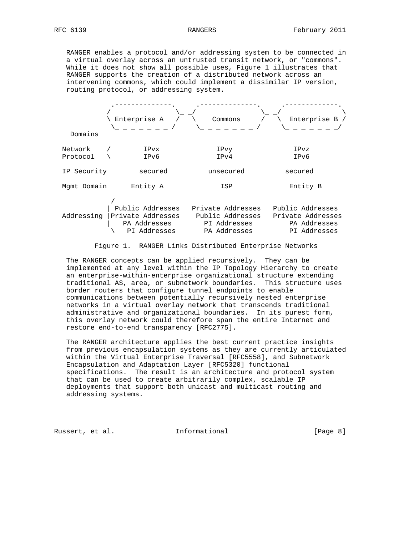RANGER enables a protocol and/or addressing system to be connected in a virtual overlay across an untrusted transit network, or "commons". While it does not show all possible uses, Figure 1 illustrates that RANGER supports the creation of a distributed network across an intervening commons, which could implement a dissimilar IP version, routing protocol, or addressing system.

| Domains             | Enterprise A                                                          | Commons                                                               | Enterprise B                                                          |
|---------------------|-----------------------------------------------------------------------|-----------------------------------------------------------------------|-----------------------------------------------------------------------|
| Network<br>Protocol | IPvx<br>IPv6                                                          | IPvy<br>IPv4                                                          | IPvz<br>IPv6                                                          |
| IP Security         | secured                                                               | unsecured                                                             | secured                                                               |
| Mgmt Domain         | Entity A                                                              | ISP                                                                   | Entity B                                                              |
| Addressing          | Public Addresses<br>Private Addresses<br>PA Addresses<br>PI Addresses | Private Addresses<br>Public Addresses<br>PI Addresses<br>PA Addresses | Public Addresses<br>Private Addresses<br>PA Addresses<br>PI Addresses |

Figure 1. RANGER Links Distributed Enterprise Networks

 The RANGER concepts can be applied recursively. They can be implemented at any level within the IP Topology Hierarchy to create an enterprise-within-enterprise organizational structure extending traditional AS, area, or subnetwork boundaries. This structure uses border routers that configure tunnel endpoints to enable communications between potentially recursively nested enterprise networks in a virtual overlay network that transcends traditional administrative and organizational boundaries. In its purest form, this overlay network could therefore span the entire Internet and restore end-to-end transparency [RFC2775].

 The RANGER architecture applies the best current practice insights from previous encapsulation systems as they are currently articulated within the Virtual Enterprise Traversal [RFC5558], and Subnetwork Encapsulation and Adaptation Layer [RFC5320] functional specifications. The result is an architecture and protocol system that can be used to create arbitrarily complex, scalable IP deployments that support both unicast and multicast routing and addressing systems.

Russert, et al. **Informational** [Page 8]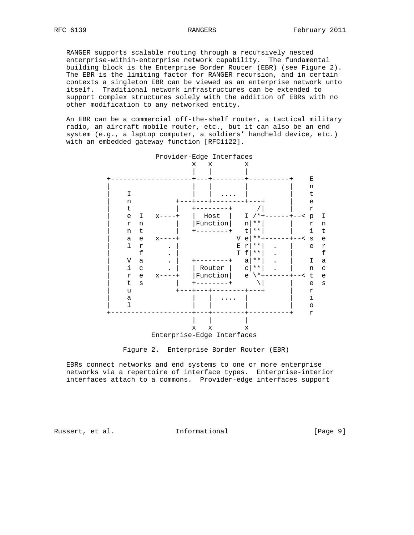RANGER supports scalable routing through a recursively nested enterprise-within-enterprise network capability. The fundamental building block is the Enterprise Border Router (EBR) (see Figure 2). The EBR is the limiting factor for RANGER recursion, and in certain contexts a singleton EBR can be viewed as an enterprise network unto itself. Traditional network infrastructures can be extended to support complex structures solely with the addition of EBRs with no other modification to any networked entity.

 An EBR can be a commercial off-the-shelf router, a tactical military radio, an aircraft mobile router, etc., but it can also be an end system (e.g., a laptop computer, a soldiers' handheld device, etc.) with an embedded gateway function [RFC1122].



Figure 2. Enterprise Border Router (EBR)

 EBRs connect networks and end systems to one or more enterprise networks via a repertoire of interface types. Enterprise-interior interfaces attach to a commons. Provider-edge interfaces support

Russert, et al. 1nformational [Page 9]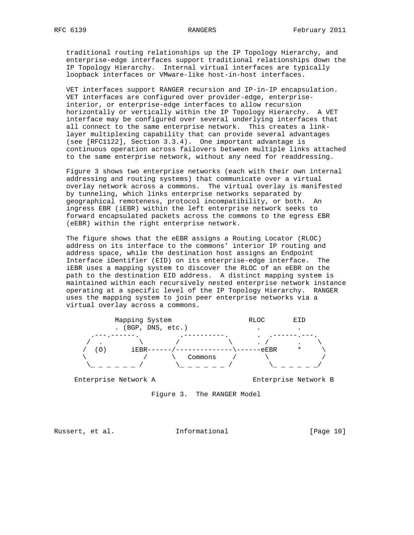traditional routing relationships up the IP Topology Hierarchy, and enterprise-edge interfaces support traditional relationships down the IP Topology Hierarchy. Internal virtual interfaces are typically loopback interfaces or VMware-like host-in-host interfaces.

 VET interfaces support RANGER recursion and IP-in-IP encapsulation. VET interfaces are configured over provider-edge, enterprise interior, or enterprise-edge interfaces to allow recursion horizontally or vertically within the IP Topology Hierarchy. A VET interface may be configured over several underlying interfaces that all connect to the same enterprise network. This creates a link layer multiplexing capability that can provide several advantages (see [RFC1122], Section 3.3.4). One important advantage is continuous operation across failovers between multiple links attached to the same enterprise network, without any need for readdressing.

 Figure 3 shows two enterprise networks (each with their own internal addressing and routing systems) that communicate over a virtual overlay network across a commons. The virtual overlay is manifested by tunneling, which links enterprise networks separated by geographical remoteness, protocol incompatibility, or both. An ingress EBR (iEBR) within the left enterprise network seeks to forward encapsulated packets across the commons to the egress EBR (eEBR) within the right enterprise network.

 The figure shows that the eEBR assigns a Routing Locator (RLOC) address on its interface to the commons' interior IP routing and address space, while the destination host assigns an Endpoint Interface iDentifier (EID) on its enterprise-edge interface. The iEBR uses a mapping system to discover the RLOC of an eEBR on the path to the destination EID address. A distinct mapping system is maintained within each recursively nested enterprise network instance operating at a specific level of the IP Topology Hierarchy. RANGER uses the mapping system to join peer enterprise networks via a virtual overlay across a commons.



Enterprise Network A Enterprise Network B

Figure 3. The RANGER Model

Russert, et al. Informational [Page 10]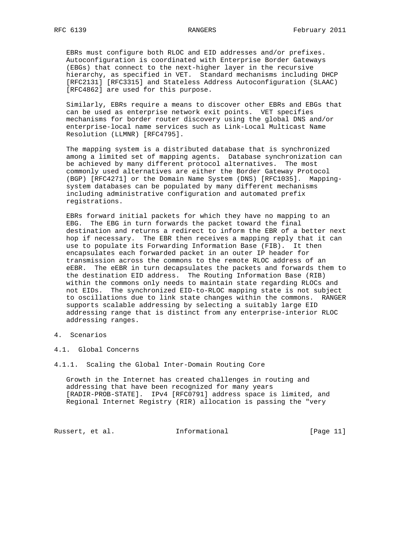EBRs must configure both RLOC and EID addresses and/or prefixes. Autoconfiguration is coordinated with Enterprise Border Gateways (EBGs) that connect to the next-higher layer in the recursive hierarchy, as specified in VET. Standard mechanisms including DHCP [RFC2131] [RFC3315] and Stateless Address Autoconfiguration (SLAAC) [RFC4862] are used for this purpose.

 Similarly, EBRs require a means to discover other EBRs and EBGs that can be used as enterprise network exit points. VET specifies mechanisms for border router discovery using the global DNS and/or enterprise-local name services such as Link-Local Multicast Name Resolution (LLMNR) [RFC4795].

 The mapping system is a distributed database that is synchronized among a limited set of mapping agents. Database synchronization can be achieved by many different protocol alternatives. The most commonly used alternatives are either the Border Gateway Protocol (BGP) [RFC4271] or the Domain Name System (DNS) [RFC1035]. Mapping system databases can be populated by many different mechanisms including administrative configuration and automated prefix registrations.

 EBRs forward initial packets for which they have no mapping to an EBG. The EBG in turn forwards the packet toward the final destination and returns a redirect to inform the EBR of a better next hop if necessary. The EBR then receives a mapping reply that it can use to populate its Forwarding Information Base (FIB). It then encapsulates each forwarded packet in an outer IP header for transmission across the commons to the remote RLOC address of an eEBR. The eEBR in turn decapsulates the packets and forwards them to the destination EID address. The Routing Information Base (RIB) within the commons only needs to maintain state regarding RLOCs and not EIDs. The synchronized EID-to-RLOC mapping state is not subject to oscillations due to link state changes within the commons. RANGER supports scalable addressing by selecting a suitably large EID addressing range that is distinct from any enterprise-interior RLOC addressing ranges.

- 4. Scenarios
- 4.1. Global Concerns
- 4.1.1. Scaling the Global Inter-Domain Routing Core

 Growth in the Internet has created challenges in routing and addressing that have been recognized for many years [RADIR-PROB-STATE]. IPv4 [RFC0791] address space is limited, and Regional Internet Registry (RIR) allocation is passing the "very

Russert, et al. 1nformational [Page 11]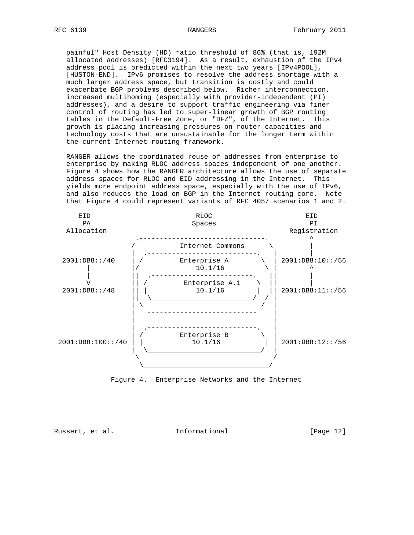painful" Host Density (HD) ratio threshold of 86% (that is, 192M allocated addresses) [RFC3194]. As a result, exhaustion of the IPv4 address pool is predicted within the next two years [IPv4POOL], [HUSTON-END]. IPv6 promises to resolve the address shortage with a much larger address space, but transition is costly and could exacerbate BGP problems described below. Richer interconnection, increased multihoming (especially with provider-independent (PI) addresses), and a desire to support traffic engineering via finer control of routing has led to super-linear growth of BGP routing tables in the Default-Free Zone, or "DFZ", of the Internet. This growth is placing increasing pressures on router capacities and technology costs that are unsustainable for the longer term within the current Internet routing framework.

 RANGER allows the coordinated reuse of addresses from enterprise to enterprise by making RLOC address spaces independent of one another. Figure 4 shows how the RANGER architecture allows the use of separate address spaces for RLOC and EID addressing in the Internet. This yields more endpoint address space, especially with the use of IPv6, and also reduces the load on BGP in the Internet routing core. Note that Figure 4 could represent variants of RFC 4057 scenarios 1 and 2.



Figure 4. Enterprise Networks and the Internet

Russert, et al. 1nformational [Page 12]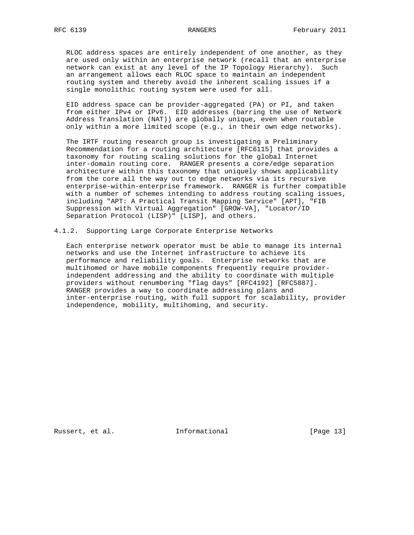RLOC address spaces are entirely independent of one another, as they are used only within an enterprise network (recall that an enterprise network can exist at any level of the IP Topology Hierarchy). Such an arrangement allows each RLOC space to maintain an independent routing system and thereby avoid the inherent scaling issues if a single monolithic routing system were used for all.

 EID address space can be provider-aggregated (PA) or PI, and taken from either IPv4 or IPv6. EID addresses (barring the use of Network Address Translation (NAT)) are globally unique, even when routable only within a more limited scope (e.g., in their own edge networks).

 The IRTF routing research group is investigating a Preliminary Recommendation for a routing architecture [RFC6115] that provides a taxonomy for routing scaling solutions for the global Internet inter-domain routing core. RANGER presents a core/edge separation architecture within this taxonomy that uniquely shows applicability from the core all the way out to edge networks via its recursive enterprise-within-enterprise framework. RANGER is further compatible with a number of schemes intending to address routing scaling issues, including "APT: A Practical Transit Mapping Service" [APT], "FIB Suppression with Virtual Aggregation" [GROW-VA], "Locator/ID Separation Protocol (LISP)" [LISP], and others.

4.1.2. Supporting Large Corporate Enterprise Networks

 Each enterprise network operator must be able to manage its internal networks and use the Internet infrastructure to achieve its performance and reliability goals. Enterprise networks that are multihomed or have mobile components frequently require provider independent addressing and the ability to coordinate with multiple providers without renumbering "flag days" [RFC4192] [RFC5887]. RANGER provides a way to coordinate addressing plans and inter-enterprise routing, with full support for scalability, provider independence, mobility, multihoming, and security.

Russert, et al. 1nformational [Page 13]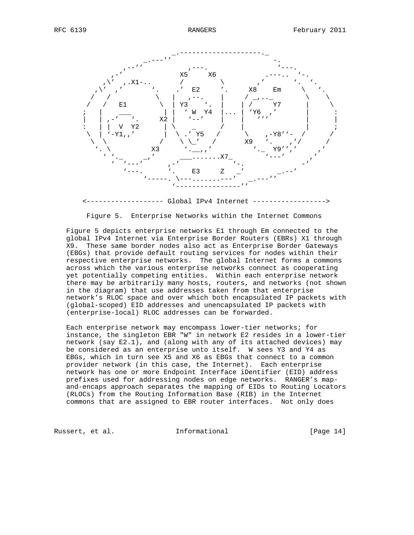

<------------------- Global IPv4 Internet ------------------>

Figure 5. Enterprise Networks within the Internet Commons

 Figure 5 depicts enterprise networks E1 through Em connected to the global IPv4 Internet via Enterprise Border Routers (EBRs) X1 through X9. These same border nodes also act as Enterprise Border Gateways (EBGs) that provide default routing services for nodes within their respective enterprise networks. The global Internet forms a commons across which the various enterprise networks connect as cooperating yet potentially competing entities. Within each enterprise network there may be arbitrarily many hosts, routers, and networks (not shown in the diagram) that use addresses taken from that enterprise network's RLOC space and over which both encapsulated IP packets with (global-scoped) EID addresses and unencapsulated IP packets with (enterprise-local) RLOC addresses can be forwarded.

 Each enterprise network may encompass lower-tier networks; for instance, the singleton EBR "W" in network E2 resides in a lower-tier network (say E2.1), and (along with any of its attached devices) may be considered as an enterprise unto itself. W sees Y3 and Y4 as EBGs, which in turn see X5 and X6 as EBGs that connect to a common provider network (in this case, the Internet). Each enterprise network has one or more Endpoint Interface iDentifier (EID) address prefixes used for addressing nodes on edge networks. RANGER's map and-encaps approach separates the mapping of EIDs to Routing Locators (RLOCs) from the Routing Information Base (RIB) in the Internet commons that are assigned to EBR router interfaces. Not only does

Russert, et al. Informational [Page 14]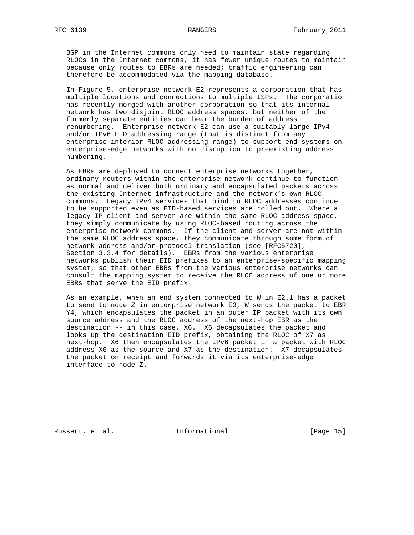BGP in the Internet commons only need to maintain state regarding RLOCs in the Internet commons, it has fewer unique routes to maintain because only routes to EBRs are needed; traffic engineering can therefore be accommodated via the mapping database.

 In Figure 5, enterprise network E2 represents a corporation that has multiple locations and connections to multiple ISPs. The corporation has recently merged with another corporation so that its internal network has two disjoint RLOC address spaces, but neither of the formerly separate entities can bear the burden of address renumbering. Enterprise network E2 can use a suitably large IPv4 and/or IPv6 EID addressing range (that is distinct from any enterprise-interior RLOC addressing range) to support end systems on enterprise-edge networks with no disruption to preexisting address numbering.

 As EBRs are deployed to connect enterprise networks together, ordinary routers within the enterprise network continue to function as normal and deliver both ordinary and encapsulated packets across the existing Internet infrastructure and the network's own RLOC commons. Legacy IPv4 services that bind to RLOC addresses continue to be supported even as EID-based services are rolled out. Where a legacy IP client and server are within the same RLOC address space, they simply communicate by using RLOC-based routing across the enterprise network commons. If the client and server are not within the same RLOC address space, they communicate through some form of network address and/or protocol translation (see [RFC5720], Section 3.3.4 for details). EBRs from the various enterprise networks publish their EID prefixes to an enterprise-specific mapping system, so that other EBRs from the various enterprise networks can consult the mapping system to receive the RLOC address of one or more EBRs that serve the EID prefix.

 As an example, when an end system connected to W in E2.1 has a packet to send to node Z in enterprise network E3, W sends the packet to EBR Y4, which encapsulates the packet in an outer IP packet with its own source address and the RLOC address of the next-hop EBR as the destination -- in this case, X6. X6 decapsulates the packet and looks up the destination EID prefix, obtaining the RLOC of X7 as next-hop. X6 then encapsulates the IPv6 packet in a packet with RLOC address X6 as the source and X7 as the destination. X7 decapsulates the packet on receipt and forwards it via its enterprise-edge interface to node Z.

Russert, et al. 1nformational [Page 15]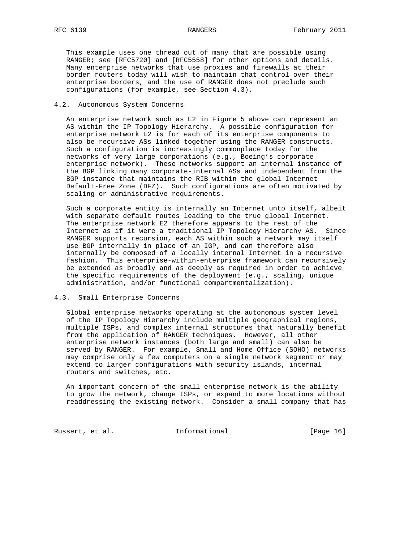This example uses one thread out of many that are possible using RANGER; see [RFC5720] and [RFC5558] for other options and details. Many enterprise networks that use proxies and firewalls at their border routers today will wish to maintain that control over their enterprise borders, and the use of RANGER does not preclude such configurations (for example, see Section 4.3).

### 4.2. Autonomous System Concerns

 An enterprise network such as E2 in Figure 5 above can represent an AS within the IP Topology Hierarchy. A possible configuration for enterprise network E2 is for each of its enterprise components to also be recursive ASs linked together using the RANGER constructs. Such a configuration is increasingly commonplace today for the networks of very large corporations (e.g., Boeing's corporate enterprise network). These networks support an internal instance of the BGP linking many corporate-internal ASs and independent from the BGP instance that maintains the RIB within the global Internet Default-Free Zone (DFZ). Such configurations are often motivated by scaling or administrative requirements.

 Such a corporate entity is internally an Internet unto itself, albeit with separate default routes leading to the true global Internet. The enterprise network E2 therefore appears to the rest of the Internet as if it were a traditional IP Topology Hierarchy AS. Since RANGER supports recursion, each AS within such a network may itself use BGP internally in place of an IGP, and can therefore also internally be composed of a locally internal Internet in a recursive fashion. This enterprise-within-enterprise framework can recursively be extended as broadly and as deeply as required in order to achieve the specific requirements of the deployment (e.g., scaling, unique administration, and/or functional compartmentalization).

## 4.3. Small Enterprise Concerns

 Global enterprise networks operating at the autonomous system level of the IP Topology Hierarchy include multiple geographical regions, multiple ISPs, and complex internal structures that naturally benefit from the application of RANGER techniques. However, all other enterprise network instances (both large and small) can also be served by RANGER. For example, Small and Home Office (SOHO) networks may comprise only a few computers on a single network segment or may extend to larger configurations with security islands, internal routers and switches, etc.

 An important concern of the small enterprise network is the ability to grow the network, change ISPs, or expand to more locations without readdressing the existing network. Consider a small company that has

Russert, et al. 1nformational [Page 16]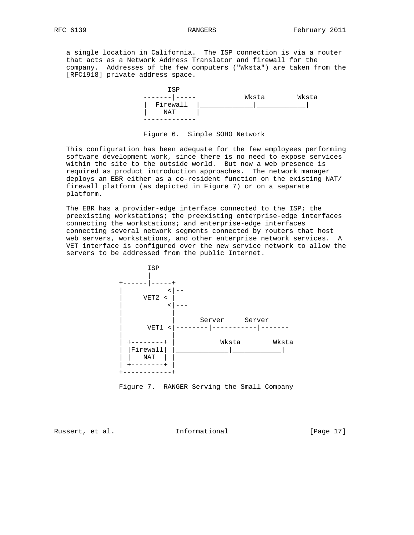a single location in California. The ISP connection is via a router that acts as a Network Address Translator and firewall for the company. Addresses of the few computers ("Wksta") are taken from the [RFC1918] private address space.



Figure 6. Simple SOHO Network

 This configuration has been adequate for the few employees performing software development work, since there is no need to expose services within the site to the outside world. But now a web presence is required as product introduction approaches. The network manager deploys an EBR either as a co-resident function on the existing NAT/ firewall platform (as depicted in Figure 7) or on a separate platform.

 The EBR has a provider-edge interface connected to the ISP; the preexisting workstations; the preexisting enterprise-edge interfaces connecting the workstations; and enterprise-edge interfaces connecting several network segments connected by routers that host web servers, workstations, and other enterprise network services. A VET interface is configured over the new service network to allow the servers to be addressed from the public Internet.



Figure 7. RANGER Serving the Small Company

Russert, et al. 1nformational [Page 17]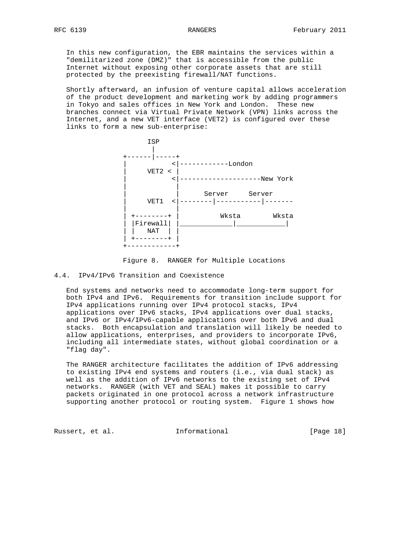In this new configuration, the EBR maintains the services within a "demilitarized zone (DMZ)" that is accessible from the public Internet without exposing other corporate assets that are still protected by the preexisting firewall/NAT functions.

 Shortly afterward, an infusion of venture capital allows acceleration of the product development and marketing work by adding programmers in Tokyo and sales offices in New York and London. These new branches connect via Virtual Private Network (VPN) links across the Internet, and a new VET interface (VET2) is configured over these links to form a new sub-enterprise:





### 4.4. IPv4/IPv6 Transition and Coexistence

 End systems and networks need to accommodate long-term support for both IPv4 and IPv6. Requirements for transition include support for IPv4 applications running over IPv4 protocol stacks, IPv4 applications over IPv6 stacks, IPv4 applications over dual stacks, and IPv6 or IPv4/IPv6-capable applications over both IPv6 and dual stacks. Both encapsulation and translation will likely be needed to allow applications, enterprises, and providers to incorporate IPv6, including all intermediate states, without global coordination or a "flag day".

 The RANGER architecture facilitates the addition of IPv6 addressing to existing IPv4 end systems and routers (i.e., via dual stack) as well as the addition of IPv6 networks to the existing set of IPv4 networks. RANGER (with VET and SEAL) makes it possible to carry packets originated in one protocol across a network infrastructure supporting another protocol or routing system. Figure 1 shows how

Russert, et al. 1nformational [Page 18]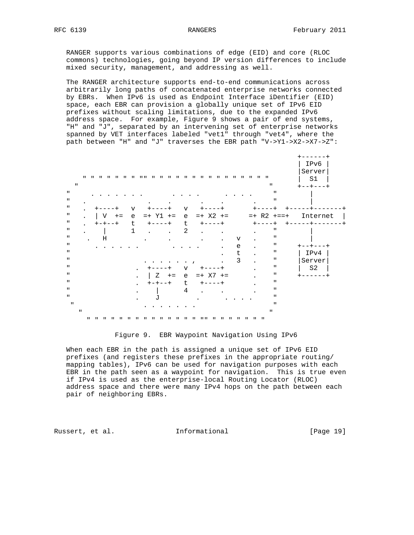RANGER supports various combinations of edge (EID) and core (RLOC commons) technologies, going beyond IP version differences to include mixed security, management, and addressing as well.

 The RANGER architecture supports end-to-end communications across arbitrarily long paths of concatenated enterprise networks connected by EBRs. When IPv6 is used as Endpoint Interface iDentifier (EID) space, each EBR can provision a globally unique set of IPv6 EID prefixes without scaling limitations, due to the expanded IPv6 address space. For example, Figure 9 shows a pair of end systems, "H" and "J", separated by an intervening set of enterprise networks spanned by VET interfaces labeled "vet1" through "vet4", where the path between "H" and "J" traverses the EBR path "V->Y1->X2->X7->Z":



Figure 9. EBR Waypoint Navigation Using IPv6

 When each EBR in the path is assigned a unique set of IPv6 EID prefixes (and registers these prefixes in the appropriate routing/ mapping tables), IPv6 can be used for navigation purposes with each EBR in the path seen as a waypoint for navigation. This is true even if IPv4 is used as the enterprise-local Routing Locator (RLOC) address space and there were many IPv4 hops on the path between each pair of neighboring EBRs.

Russert, et al. 1nformational [Page 19]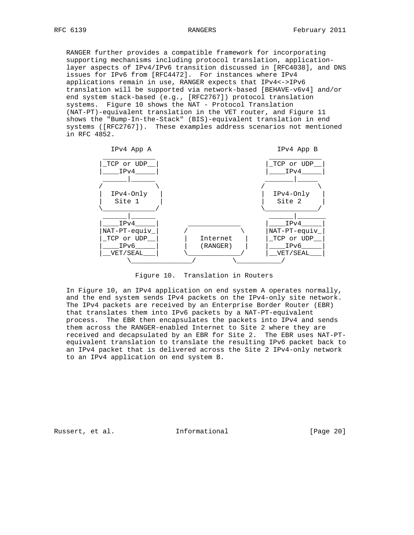RANGER further provides a compatible framework for incorporating supporting mechanisms including protocol translation, application layer aspects of IPv4/IPv6 transition discussed in [RFC4038], and DNS issues for IPv6 from [RFC4472]. For instances where IPv4 applications remain in use, RANGER expects that IPv4<->IPv6 translation will be supported via network-based [BEHAVE-v6v4] and/or end system stack-based (e.g., [RFC2767]) protocol translation systems. Figure 10 shows the NAT - Protocol Translation (NAT-PT)-equivalent translation in the VET router, and Figure 11 shows the "Bump-In-the-Stack" (BIS)-equivalent translation in end systems ([RFC2767]). These examples address scenarios not mentioned in RFC 4852.



Figure 10. Translation in Routers

 In Figure 10, an IPv4 application on end system A operates normally, and the end system sends IPv4 packets on the IPv4-only site network. The IPv4 packets are received by an Enterprise Border Router (EBR) that translates them into IPv6 packets by a NAT-PT-equivalent process. The EBR then encapsulates the packets into IPv4 and sends them across the RANGER-enabled Internet to Site 2 where they are received and decapsulated by an EBR for Site 2. The EBR uses NAT-PT equivalent translation to translate the resulting IPv6 packet back to an IPv4 packet that is delivered across the Site 2 IPv4-only network to an IPv4 application on end system B.

Russert, et al. Informational [Page 20]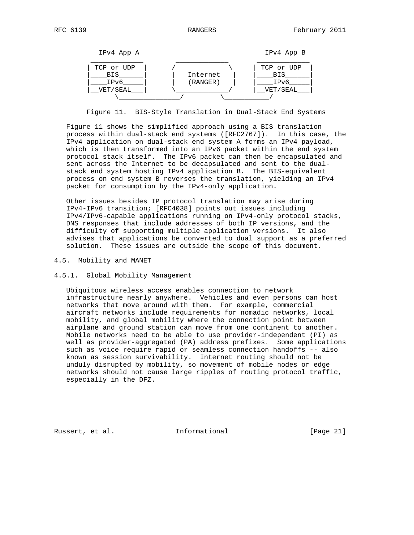

Figure 11. BIS-Style Translation in Dual-Stack End Systems

 Figure 11 shows the simplified approach using a BIS translation process within dual-stack end systems ([RFC2767]). In this case, the IPv4 application on dual-stack end system A forms an IPv4 payload, which is then transformed into an IPv6 packet within the end system protocol stack itself. The IPv6 packet can then be encapsulated and sent across the Internet to be decapsulated and sent to the dual stack end system hosting IPv4 application B. The BIS-equivalent process on end system B reverses the translation, yielding an IPv4 packet for consumption by the IPv4-only application.

 Other issues besides IP protocol translation may arise during IPv4-IPv6 transition; [RFC4038] points out issues including IPv4/IPv6-capable applications running on IPv4-only protocol stacks, DNS responses that include addresses of both IP versions, and the difficulty of supporting multiple application versions. It also advises that applications be converted to dual support as a preferred solution. These issues are outside the scope of this document.

4.5. Mobility and MANET

### 4.5.1. Global Mobility Management

 Ubiquitous wireless access enables connection to network infrastructure nearly anywhere. Vehicles and even persons can host networks that move around with them. For example, commercial aircraft networks include requirements for nomadic networks, local mobility, and global mobility where the connection point between airplane and ground station can move from one continent to another. Mobile networks need to be able to use provider-independent (PI) as well as provider-aggregated (PA) address prefixes. Some applications such as voice require rapid or seamless connection handoffs -- also known as session survivability. Internet routing should not be unduly disrupted by mobility, so movement of mobile nodes or edge networks should not cause large ripples of routing protocol traffic, especially in the DFZ.

Russert, et al. Informational [Page 21]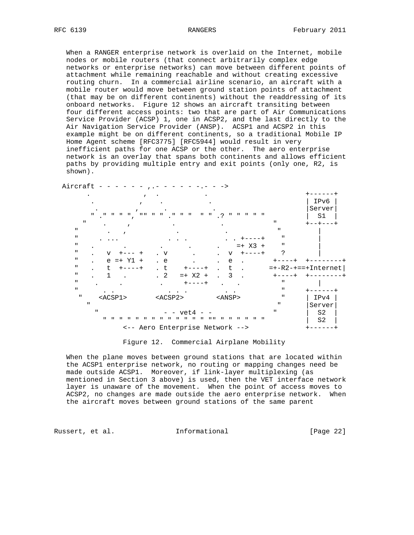When a RANGER enterprise network is overlaid on the Internet, mobile nodes or mobile routers (that connect arbitrarily complex edge networks or enterprise networks) can move between different points of attachment while remaining reachable and without creating excessive routing churn. In a commercial airline scenario, an aircraft with a mobile router would move between ground station points of attachment (that may be on different continents) without the readdressing of its onboard networks. Figure 12 shows an aircraft transiting between four different access points: two that are part of Air Communications Service Provider (ACSP) 1, one in ACSP2, and the last directly to the Air Navigation Service Provider (ANSP). ACSP1 and ACSP2 in this example might be on different continents, so a traditional Mobile IP Home Agent scheme [RFC3775] [RFC5944] would result in very inefficient paths for one ACSP or the other. The aero enterprise network is an overlay that spans both continents and allows efficient paths by providing multiple entry and exit points (only one, R2, is shown).



Figure 12. Commercial Airplane Mobility

 When the plane moves between ground stations that are located within the ACSP1 enterprise network, no routing or mapping changes need be made outside ACSP1. Moreover, if link-layer multiplexing (as mentioned in Section 3 above) is used, then the VET interface network layer is unaware of the movement. When the point of access moves to ACSP2, no changes are made outside the aero enterprise network. When the aircraft moves between ground stations of the same parent

Russert, et al. 1nformational [Page 22]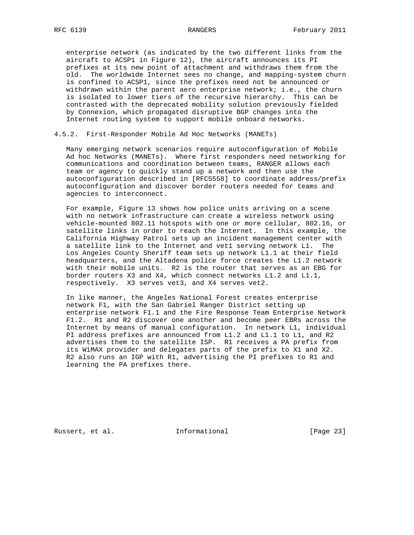enterprise network (as indicated by the two different links from the aircraft to ACSP1 in Figure 12), the aircraft announces its PI prefixes at its new point of attachment and withdraws them from the old. The worldwide Internet sees no change, and mapping-system churn is confined to ACSP1, since the prefixes need not be announced or withdrawn within the parent aero enterprise network; i.e., the churn is isolated to lower tiers of the recursive hierarchy. This can be contrasted with the deprecated mobility solution previously fielded by Connexion, which propagated disruptive BGP changes into the Internet routing system to support mobile onboard networks.

4.5.2. First-Responder Mobile Ad Hoc Networks (MANETs)

 Many emerging network scenarios require autoconfiguration of Mobile Ad hoc Networks (MANETs). Where first responders need networking for communications and coordination between teams, RANGER allows each team or agency to quickly stand up a network and then use the autoconfiguration described in [RFC5558] to coordinate address/prefix autoconfiguration and discover border routers needed for teams and agencies to interconnect.

 For example, Figure 13 shows how police units arriving on a scene with no network infrastructure can create a wireless network using vehicle-mounted 802.11 hotspots with one or more cellular, 802.16, or satellite links in order to reach the Internet. In this example, the California Highway Patrol sets up an incident management center with a satellite link to the Internet and vet1 serving network L1. The Los Angeles County Sheriff team sets up network L1.1 at their field headquarters, and the Altadena police force creates the L1.2 network with their mobile units. R2 is the router that serves as an EBG for border routers X3 and X4, which connect networks L1.2 and L1.1, respectively. X3 serves vet3, and X4 serves vet2.

 In like manner, the Angeles National Forest creates enterprise network F1, with the San Gabriel Ranger District setting up enterprise network F1.1 and the Fire Response Team Enterprise Network F1.2. R1 and R2 discover one another and become peer EBRs across the Internet by means of manual configuration. In network L1, individual PI address prefixes are announced from L1.2 and L1.1 to L1, and R2 advertises them to the satellite ISP. R1 receives a PA prefix from its WiMAX provider and delegates parts of the prefix to X1 and X2. R2 also runs an IGP with R1, advertising the PI prefixes to R1 and learning the PA prefixes there.

Russert, et al. 1nformational [Page 23]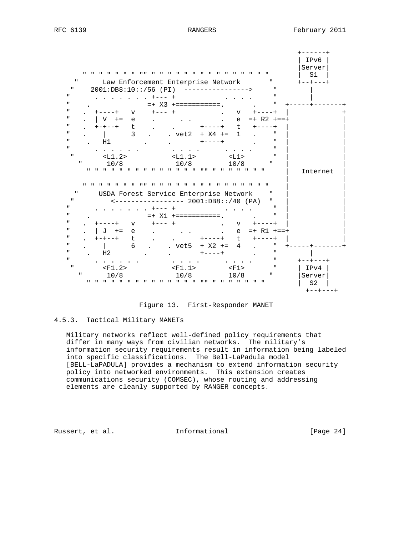| .<br>$\mathbf{H}$<br>.<br>$\mathbf{H}$<br>$\mathbf{H}$<br>Law Enforcement Enterprise Network                                                                                                                                                                                                                                                                                                                                                                                                                                                                                                                                                                        | Server<br>S1<br>$+ - - + - - - +$ |
|---------------------------------------------------------------------------------------------------------------------------------------------------------------------------------------------------------------------------------------------------------------------------------------------------------------------------------------------------------------------------------------------------------------------------------------------------------------------------------------------------------------------------------------------------------------------------------------------------------------------------------------------------------------------|-----------------------------------|
| $2001:DB8:10::/56 (PI)$ ----------------><br>$\mathbf{H}$<br>$\mathbf{H}$<br>п<br>$\mathbf{H}$<br>$\mathbf{H}$<br>$\mathbf{H}$                                                                                                                                                                                                                                                                                                                                                                                                                                                                                                                                      |                                   |
| $+---+$<br>п<br>$\cdot$ v $+\texttt{---+}$<br>$+ - - - - +$<br>$\mathbf v$<br>$e$ = + R2 + = = +<br>п<br>$V + =$<br>e<br>and the state of the state of the<br>+-+--+ t +----+ t +----+<br>п<br>$\mathbf{3}$<br>п<br>H1<br>$\mathbf{H}$<br>п<br>$+ - - - - +$<br><b>Contract Contract Contract</b>                                                                                                                                                                                                                                                                                                                                                                   |                                   |
| п<br>$\mathbf{H}$<br>$\mathbf{H}$<br>$L1.2>$<br>$<$ L $1.1$ ><br>$<$ L1><br>10/8<br>10/8<br>10/8<br>ш<br>$\mathbf{H}$                                                                                                                                                                                                                                                                                                                                                                                                                                                                                                                                               | Internet                          |
|                                                                                                                                                                                                                                                                                                                                                                                                                                                                                                                                                                                                                                                                     |                                   |
| .<br>$\mathbf{u}$ $\mathbf{u}$<br>$\mathbf{u}$<br>$\mathbf{u}$ $\mathbf{u}$ $\mathbf{u}$<br>$\mathbf{u}$<br>$\mathbf{u}$ $\mathbf{u}$<br>$\mathbf{H}$<br>$\mathbf{H}$<br>$\mathbf{H}$<br>USDA Forest Service Enterprise Network<br>$\mathbf{H}$<br>$\leftarrow$ ---------------- 2001:DB8::/40 (PA)<br>$\mathbf{H}$<br>п<br>$\mathbf{H}$<br>$\cdot$ $+$ - - - +<br>п<br>$=+ X1 + = = = = = = = = = 0.$<br>$\mathbf{H}$<br>$+--- +$<br>$+ - - - - +$<br>$V + - - - +$<br>$\mathbf v$<br><b>Contract Contract Street</b><br>$=+ R1 + = +$<br>$\mathbf{H}$<br>$J + =$<br>e<br>e —<br>$\mathcal{L}^{\text{max}}$<br>and the state of the state of<br>п<br>$+ - + - - +$ |                                   |
| $\mathbf{H}$<br>$\mathbf{u}$<br>H2<br>$\mathbf{H}$<br>п<br>$+ - - - +$<br>$\mathbf{H}$<br>$\mathbf{H}$                                                                                                                                                                                                                                                                                                                                                                                                                                                                                                                                                              | $+ - - + - - - +$                 |

Figure 13. First-Responder MANET

# 4.5.3. Tactical Military MANETs

 Military networks reflect well-defined policy requirements that differ in many ways from civilian networks. The military's information security requirements result in information being labeled into specific classifications. The Bell-LaPadula model [BELL-LaPADULA] provides a mechanism to extend information security policy into networked environments. This extension creates communications security (COMSEC), whose routing and addressing elements are cleanly supported by RANGER concepts.

Russert, et al. 1nformational [Page 24]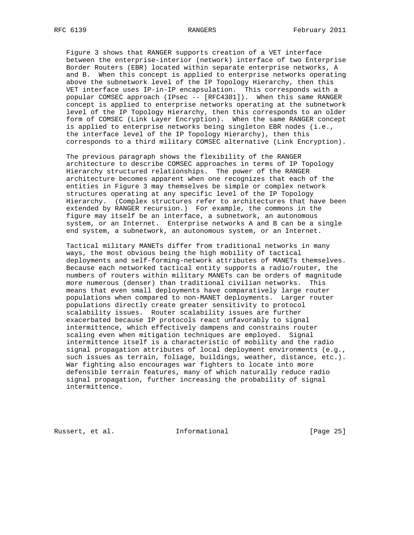Figure 3 shows that RANGER supports creation of a VET interface between the enterprise-interior (network) interface of two Enterprise Border Routers (EBR) located within separate enterprise networks, A and B. When this concept is applied to enterprise networks operating above the subnetwork level of the IP Topology Hierarchy, then this VET interface uses IP-in-IP encapsulation. This corresponds with a popular COMSEC approach (IPsec -- [RFC4301]). When this same RANGER concept is applied to enterprise networks operating at the subnetwork level of the IP Topology Hierarchy, then this corresponds to an older form of COMSEC (Link Layer Encryption). When the same RANGER concept is applied to enterprise networks being singleton EBR nodes (i.e., the interface level of the IP Topology Hierarchy), then this corresponds to a third military COMSEC alternative (Link Encryption).

 The previous paragraph shows the flexibility of the RANGER architecture to describe COMSEC approaches in terms of IP Topology Hierarchy structured relationships. The power of the RANGER architecture becomes apparent when one recognizes that each of the entities in Figure 3 may themselves be simple or complex network structures operating at any specific level of the IP Topology Hierarchy. (Complex structures refer to architectures that have been extended by RANGER recursion.) For example, the commons in the figure may itself be an interface, a subnetwork, an autonomous system, or an Internet. Enterprise networks A and B can be a single end system, a subnetwork, an autonomous system, or an Internet.

 Tactical military MANETs differ from traditional networks in many ways, the most obvious being the high mobility of tactical deployments and self-forming-network attributes of MANETs themselves. Because each networked tactical entity supports a radio/router, the numbers of routers within military MANETs can be orders of magnitude more numerous (denser) than traditional civilian networks. This means that even small deployments have comparatively large router populations when compared to non-MANET deployments. Larger router populations directly create greater sensitivity to protocol scalability issues. Router scalability issues are further exacerbated because IP protocols react unfavorably to signal intermittence, which effectively dampens and constrains router scaling even when mitigation techniques are employed. Signal intermittence itself is a characteristic of mobility and the radio signal propagation attributes of local deployment environments (e.g., such issues as terrain, foliage, buildings, weather, distance, etc.). War fighting also encourages war fighters to locate into more defensible terrain features, many of which naturally reduce radio signal propagation, further increasing the probability of signal intermittence.

Russert, et al. 1nformational [Page 25]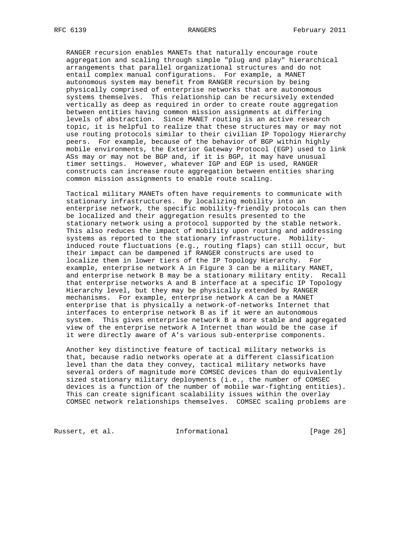RANGER recursion enables MANETs that naturally encourage route aggregation and scaling through simple "plug and play" hierarchical arrangements that parallel organizational structures and do not entail complex manual configurations. For example, a MANET autonomous system may benefit from RANGER recursion by being physically comprised of enterprise networks that are autonomous systems themselves. This relationship can be recursively extended vertically as deep as required in order to create route aggregation between entities having common mission assignments at differing levels of abstraction. Since MANET routing is an active research topic, it is helpful to realize that these structures may or may not use routing protocols similar to their civilian IP Topology Hierarchy peers. For example, because of the behavior of BGP within highly mobile environments, the Exterior Gateway Protocol (EGP) used to link ASs may or may not be BGP and, if it is BGP, it may have unusual timer settings. However, whatever IGP and EGP is used, RANGER constructs can increase route aggregation between entities sharing common mission assignments to enable route scaling.

 Tactical military MANETs often have requirements to communicate with stationary infrastructures. By localizing mobility into an enterprise network, the specific mobility-friendly protocols can then be localized and their aggregation results presented to the stationary network using a protocol supported by the stable network. This also reduces the impact of mobility upon routing and addressing systems as reported to the stationary infrastructure. Mobility induced route fluctuations (e.g., routing flaps) can still occur, but their impact can be dampened if RANGER constructs are used to localize them in lower tiers of the IP Topology Hierarchy. For example, enterprise network A in Figure 3 can be a military MANET, and enterprise network B may be a stationary military entity. Recall that enterprise networks A and B interface at a specific IP Topology Hierarchy level, but they may be physically extended by RANGER mechanisms. For example, enterprise network A can be a MANET enterprise that is physically a network-of-networks Internet that interfaces to enterprise network B as if it were an autonomous system. This gives enterprise network B a more stable and aggregated view of the enterprise network A Internet than would be the case if it were directly aware of A's various sub-enterprise components.

 Another key distinctive feature of tactical military networks is that, because radio networks operate at a different classification level than the data they convey, tactical military networks have several orders of magnitude more COMSEC devices than do equivalently sized stationary military deployments (i.e., the number of COMSEC devices is a function of the number of mobile war-fighting entities). This can create significant scalability issues within the overlay COMSEC network relationships themselves. COMSEC scaling problems are

Russert, et al. 1nformational [Page 26]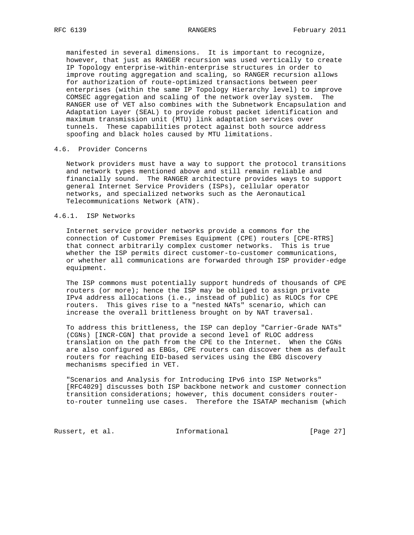manifested in several dimensions. It is important to recognize, however, that just as RANGER recursion was used vertically to create IP Topology enterprise-within-enterprise structures in order to improve routing aggregation and scaling, so RANGER recursion allows for authorization of route-optimized transactions between peer enterprises (within the same IP Topology Hierarchy level) to improve COMSEC aggregation and scaling of the network overlay system. The RANGER use of VET also combines with the Subnetwork Encapsulation and Adaptation Layer (SEAL) to provide robust packet identification and maximum transmission unit (MTU) link adaptation services over tunnels. These capabilities protect against both source address spoofing and black holes caused by MTU limitations.

# 4.6. Provider Concerns

 Network providers must have a way to support the protocol transitions and network types mentioned above and still remain reliable and financially sound. The RANGER architecture provides ways to support general Internet Service Providers (ISPs), cellular operator networks, and specialized networks such as the Aeronautical Telecommunications Network (ATN).

## 4.6.1. ISP Networks

 Internet service provider networks provide a commons for the connection of Customer Premises Equipment (CPE) routers [CPE-RTRS] that connect arbitrarily complex customer networks. This is true whether the ISP permits direct customer-to-customer communications, or whether all communications are forwarded through ISP provider-edge equipment.

 The ISP commons must potentially support hundreds of thousands of CPE routers (or more); hence the ISP may be obliged to assign private IPv4 address allocations (i.e., instead of public) as RLOCs for CPE routers. This gives rise to a "nested NATs" scenario, which can increase the overall brittleness brought on by NAT traversal.

 To address this brittleness, the ISP can deploy "Carrier-Grade NATs" (CGNs) [INCR-CGN] that provide a second level of RLOC address translation on the path from the CPE to the Internet. When the CGNs are also configured as EBGs, CPE routers can discover them as default routers for reaching EID-based services using the EBG discovery mechanisms specified in VET.

 "Scenarios and Analysis for Introducing IPv6 into ISP Networks" [RFC4029] discusses both ISP backbone network and customer connection transition considerations; however, this document considers router to-router tunneling use cases. Therefore the ISATAP mechanism (which

Russert, et al. 1nformational [Page 27]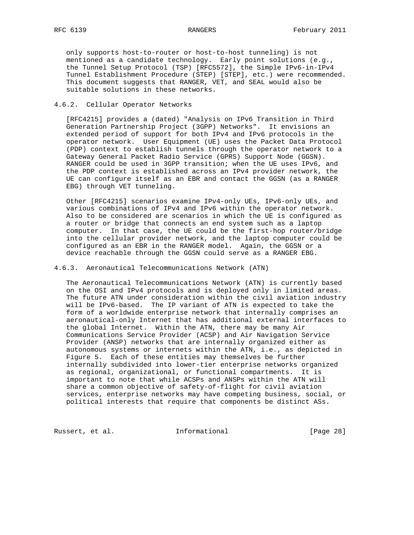only supports host-to-router or host-to-host tunneling) is not mentioned as a candidate technology. Early point solutions (e.g., the Tunnel Setup Protocol (TSP) [RFC5572], the Simple IPv6-in-IPv4 Tunnel Establishment Procedure (STEP) [STEP], etc.) were recommended. This document suggests that RANGER, VET, and SEAL would also be suitable solutions in these networks.

## 4.6.2. Cellular Operator Networks

 [RFC4215] provides a (dated) "Analysis on IPv6 Transition in Third Generation Partnership Project (3GPP) Networks". It envisions an extended period of support for both IPv4 and IPv6 protocols in the operator network. User Equipment (UE) uses the Packet Data Protocol (PDP) context to establish tunnels through the operator network to a Gateway General Packet Radio Service (GPRS) Support Node (GGSN). RANGER could be used in 3GPP transition; when the UE uses IPv6, and the PDP context is established across an IPv4 provider network, the UE can configure itself as an EBR and contact the GGSN (as a RANGER EBG) through VET tunneling.

 Other [RFC4215] scenarios examine IPv4-only UEs, IPv6-only UEs, and various combinations of IPv4 and IPv6 within the operator network. Also to be considered are scenarios in which the UE is configured as a router or bridge that connects an end system such as a laptop computer. In that case, the UE could be the first-hop router/bridge into the cellular provider network, and the laptop computer could be configured as an EBR in the RANGER model. Again, the GGSN or a device reachable through the GGSN could serve as a RANGER EBG.

### 4.6.3. Aeronautical Telecommunications Network (ATN)

 The Aeronautical Telecommunications Network (ATN) is currently based on the OSI and IPv4 protocols and is deployed only in limited areas. The future ATN under consideration within the civil aviation industry will be IPv6-based. The IP variant of ATN is expected to take the form of a worldwide enterprise network that internally comprises an aeronautical-only Internet that has additional external interfaces to the global Internet. Within the ATN, there may be many Air Communications Service Provider (ACSP) and Air Navigation Service Provider (ANSP) networks that are internally organized either as autonomous systems or internets within the ATN, i.e., as depicted in Figure 5. Each of these entities may themselves be further internally subdivided into lower-tier enterprise networks organized as regional, organizational, or functional compartments. It is important to note that while ACSPs and ANSPs within the ATN will share a common objective of safety-of-flight for civil aviation services, enterprise networks may have competing business, social, or political interests that require that components be distinct ASs.

Russert, et al. 1nformational [Page 28]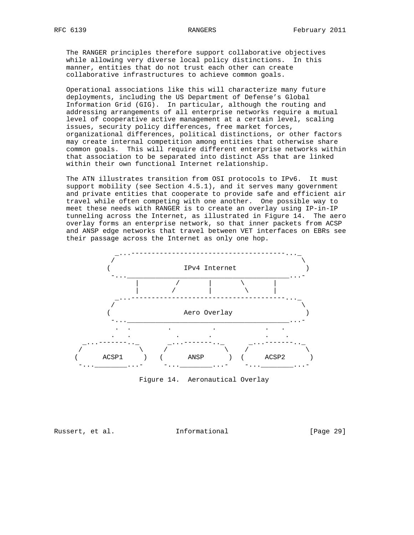The RANGER principles therefore support collaborative objectives while allowing very diverse local policy distinctions. In this manner, entities that do not trust each other can create collaborative infrastructures to achieve common goals.

 Operational associations like this will characterize many future deployments, including the US Department of Defense's Global Information Grid (GIG). In particular, although the routing and addressing arrangements of all enterprise networks require a mutual level of cooperative active management at a certain level, scaling issues, security policy differences, free market forces, organizational differences, political distinctions, or other factors may create internal competition among entities that otherwise share common goals. This will require different enterprise networks within that association to be separated into distinct ASs that are linked within their own functional Internet relationship.

 The ATN illustrates transition from OSI protocols to IPv6. It must support mobility (see Section 4.5.1), and it serves many government and private entities that cooperate to provide safe and efficient air travel while often competing with one another. One possible way to meet these needs with RANGER is to create an overlay using IP-in-IP tunneling across the Internet, as illustrated in Figure 14. The aero overlay forms an enterprise network, so that inner packets from ACSP and ANSP edge networks that travel between VET interfaces on EBRs see their passage across the Internet as only one hop.



Figure 14. Aeronautical Overlay

Russert, et al. Informational [Page 29]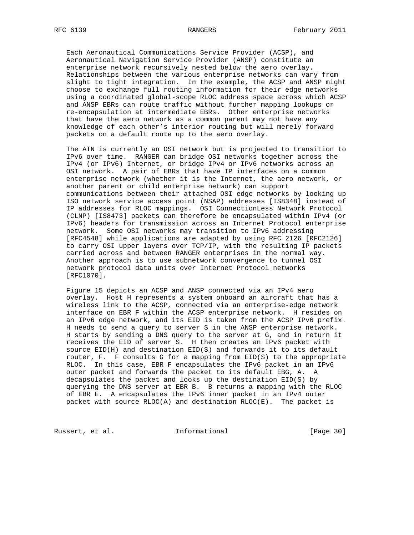Each Aeronautical Communications Service Provider (ACSP), and Aeronautical Navigation Service Provider (ANSP) constitute an enterprise network recursively nested below the aero overlay. Relationships between the various enterprise networks can vary from slight to tight integration. In the example, the ACSP and ANSP might choose to exchange full routing information for their edge networks using a coordinated global-scope RLOC address space across which ACSP and ANSP EBRs can route traffic without further mapping lookups or re-encapsulation at intermediate EBRs. Other enterprise networks that have the aero network as a common parent may not have any knowledge of each other's interior routing but will merely forward packets on a default route up to the aero overlay.

 The ATN is currently an OSI network but is projected to transition to IPv6 over time. RANGER can bridge OSI networks together across the IPv4 (or IPv6) Internet, or bridge IPv4 or IPv6 networks across an OSI network. A pair of EBRs that have IP interfaces on a common enterprise network (whether it is the Internet, the aero network, or another parent or child enterprise network) can support communications between their attached OSI edge networks by looking up ISO network service access point (NSAP) addresses [IS8348] instead of IP addresses for RLOC mappings. OSI ConnectionLess Network Protocol (CLNP) [IS8473] packets can therefore be encapsulated within IPv4 (or IPv6) headers for transmission across an Internet Protocol enterprise network. Some OSI networks may transition to IPv6 addressing [RFC4548] while applications are adapted by using RFC 2126 [RFC2126] to carry OSI upper layers over TCP/IP, with the resulting IP packets carried across and between RANGER enterprises in the normal way. Another approach is to use subnetwork convergence to tunnel OSI network protocol data units over Internet Protocol networks [RFC1070].

 Figure 15 depicts an ACSP and ANSP connected via an IPv4 aero overlay. Host H represents a system onboard an aircraft that has a wireless link to the ACSP, connected via an enterprise-edge network interface on EBR F within the ACSP enterprise network. H resides on an IPv6 edge network, and its EID is taken from the ACSP IPv6 prefix. H needs to send a query to server S in the ANSP enterprise network. H starts by sending a DNS query to the server at G, and in return it receives the EID of server S. H then creates an IPv6 packet with source EID(H) and destination EID(S) and forwards it to its default router, F. F consults G for a mapping from EID(S) to the appropriate RLOC. In this case, EBR F encapsulates the IPv6 packet in an IPv6 outer packet and forwards the packet to its default EBG, A. A decapsulates the packet and looks up the destination EID(S) by querying the DNS server at EBR B. B returns a mapping with the RLOC of EBR E. A encapsulates the IPv6 inner packet in an IPv4 outer packet with source  $RLOC(A)$  and destination  $RLOC(E)$ . The packet is

Russert, et al. 1nformational [Page 30]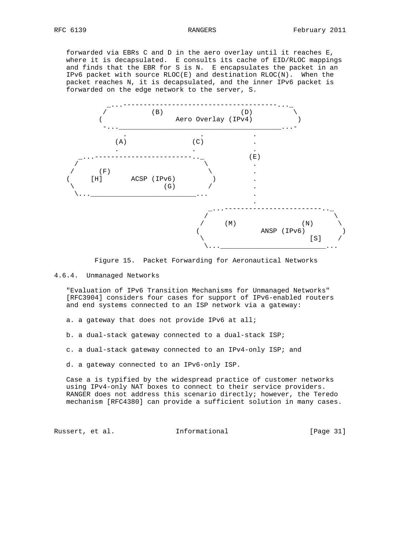forwarded via EBRs C and D in the aero overlay until it reaches E, where it is decapsulated. E consults its cache of EID/RLOC mappings and finds that the EBR for S is N. E encapsulates the packet in an IPv6 packet with source RLOC(E) and destination RLOC(N). When the packet reaches N, it is decapsulated, and the inner IPv6 packet is forwarded on the edge network to the server, S.



Figure 15. Packet Forwarding for Aeronautical Networks

## 4.6.4. Unmanaged Networks

 "Evaluation of IPv6 Transition Mechanisms for Unmanaged Networks" [RFC3904] considers four cases for support of IPv6-enabled routers and end systems connected to an ISP network via a gateway:

- a. a gateway that does not provide IPv6 at all;
- b. a dual-stack gateway connected to a dual-stack ISP;
- c. a dual-stack gateway connected to an IPv4-only ISP; and
- d. a gateway connected to an IPv6-only ISP.

 Case a is typified by the widespread practice of customer networks using IPv4-only NAT boxes to connect to their service providers. RANGER does not address this scenario directly; however, the Teredo mechanism [RFC4380] can provide a sufficient solution in many cases.

Russert, et al. Informational [Page 31]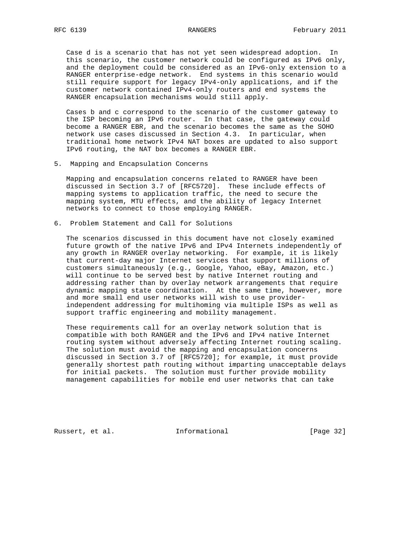Case d is a scenario that has not yet seen widespread adoption. In this scenario, the customer network could be configured as IPv6 only, and the deployment could be considered as an IPv6-only extension to a RANGER enterprise-edge network. End systems in this scenario would still require support for legacy IPv4-only applications, and if the customer network contained IPv4-only routers and end systems the RANGER encapsulation mechanisms would still apply.

 Cases b and c correspond to the scenario of the customer gateway to the ISP becoming an IPv6 router. In that case, the gateway could become a RANGER EBR, and the scenario becomes the same as the SOHO network use cases discussed in Section 4.3. In particular, when traditional home network IPv4 NAT boxes are updated to also support IPv6 routing, the NAT box becomes a RANGER EBR.

5. Mapping and Encapsulation Concerns

 Mapping and encapsulation concerns related to RANGER have been discussed in Section 3.7 of [RFC5720]. These include effects of mapping systems to application traffic, the need to secure the mapping system, MTU effects, and the ability of legacy Internet networks to connect to those employing RANGER.

6. Problem Statement and Call for Solutions

 The scenarios discussed in this document have not closely examined future growth of the native IPv6 and IPv4 Internets independently of any growth in RANGER overlay networking. For example, it is likely that current-day major Internet services that support millions of customers simultaneously (e.g., Google, Yahoo, eBay, Amazon, etc.) will continue to be served best by native Internet routing and addressing rather than by overlay network arrangements that require dynamic mapping state coordination. At the same time, however, more and more small end user networks will wish to use provider independent addressing for multihoming via multiple ISPs as well as support traffic engineering and mobility management.

 These requirements call for an overlay network solution that is compatible with both RANGER and the IPv6 and IPv4 native Internet routing system without adversely affecting Internet routing scaling. The solution must avoid the mapping and encapsulation concerns discussed in Section 3.7 of [RFC5720]; for example, it must provide generally shortest path routing without imparting unacceptable delays for initial packets. The solution must further provide mobility management capabilities for mobile end user networks that can take

Russert, et al. 1nformational [Page 32]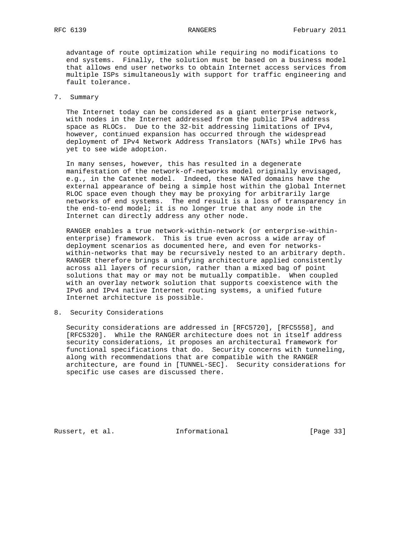advantage of route optimization while requiring no modifications to end systems. Finally, the solution must be based on a business model that allows end user networks to obtain Internet access services from multiple ISPs simultaneously with support for traffic engineering and fault tolerance.

## 7. Summary

 The Internet today can be considered as a giant enterprise network, with nodes in the Internet addressed from the public IPv4 address space as RLOCs. Due to the 32-bit addressing limitations of IPv4, however, continued expansion has occurred through the widespread deployment of IPv4 Network Address Translators (NATs) while IPv6 has yet to see wide adoption.

 In many senses, however, this has resulted in a degenerate manifestation of the network-of-networks model originally envisaged, e.g., in the Catenet model. Indeed, these NATed domains have the external appearance of being a simple host within the global Internet RLOC space even though they may be proxying for arbitrarily large networks of end systems. The end result is a loss of transparency in the end-to-end model; it is no longer true that any node in the Internet can directly address any other node.

 RANGER enables a true network-within-network (or enterprise-within enterprise) framework. This is true even across a wide array of deployment scenarios as documented here, and even for networks within-networks that may be recursively nested to an arbitrary depth. RANGER therefore brings a unifying architecture applied consistently across all layers of recursion, rather than a mixed bag of point solutions that may or may not be mutually compatible. When coupled with an overlay network solution that supports coexistence with the IPv6 and IPv4 native Internet routing systems, a unified future Internet architecture is possible.

8. Security Considerations

 Security considerations are addressed in [RFC5720], [RFC5558], and [RFC5320]. While the RANGER architecture does not in itself address security considerations, it proposes an architectural framework for functional specifications that do. Security concerns with tunneling, along with recommendations that are compatible with the RANGER architecture, are found in [TUNNEL-SEC]. Security considerations for specific use cases are discussed there.

Russert, et al. 1nformational [Page 33]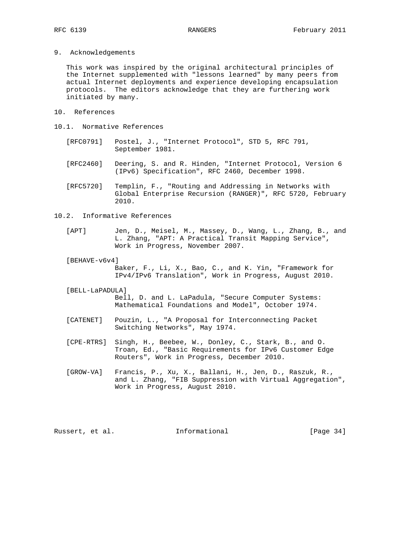9. Acknowledgements

 This work was inspired by the original architectural principles of the Internet supplemented with "lessons learned" by many peers from actual Internet deployments and experience developing encapsulation protocols. The editors acknowledge that they are furthering work initiated by many.

- 10. References
- 10.1. Normative References
	- [RFC0791] Postel, J., "Internet Protocol", STD 5, RFC 791, September 1981.
	- [RFC2460] Deering, S. and R. Hinden, "Internet Protocol, Version 6 (IPv6) Specification", RFC 2460, December 1998.
	- [RFC5720] Templin, F., "Routing and Addressing in Networks with Global Enterprise Recursion (RANGER)", RFC 5720, February 2010.
- 10.2. Informative References
	- [APT] Jen, D., Meisel, M., Massey, D., Wang, L., Zhang, B., and L. Zhang, "APT: A Practical Transit Mapping Service", Work in Progress, November 2007.
	- [BEHAVE-v6v4] Baker, F., Li, X., Bao, C., and K. Yin, "Framework for IPv4/IPv6 Translation", Work in Progress, August 2010.
	- [BELL-LaPADULA] Bell, D. and L. LaPadula, "Secure Computer Systems: Mathematical Foundations and Model", October 1974.
	- [CATENET] Pouzin, L., "A Proposal for Interconnecting Packet Switching Networks", May 1974.
	- [CPE-RTRS] Singh, H., Beebee, W., Donley, C., Stark, B., and O. Troan, Ed., "Basic Requirements for IPv6 Customer Edge Routers", Work in Progress, December 2010.
	- [GROW-VA] Francis, P., Xu, X., Ballani, H., Jen, D., Raszuk, R., and L. Zhang, "FIB Suppression with Virtual Aggregation", Work in Progress, August 2010.

Russert, et al. 1nformational [Page 34]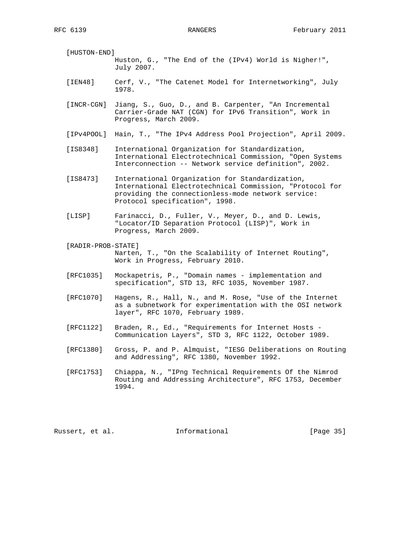[HUSTON-END]

```
 Huston, G., "The End of the (IPv4) World is Nigher!",
July 2007.
```
- [IEN48] Cerf, V., "The Catenet Model for Internetworking", July 1978.
- [INCR-CGN] Jiang, S., Guo, D., and B. Carpenter, "An Incremental Carrier-Grade NAT (CGN) for IPv6 Transition", Work in Progress, March 2009.
- [IPv4POOL] Hain, T., "The IPv4 Address Pool Projection", April 2009.
- [IS8348] International Organization for Standardization, International Electrotechnical Commission, "Open Systems Interconnection -- Network service definition", 2002.
- [IS8473] International Organization for Standardization, International Electrotechnical Commission, "Protocol for providing the connectionless-mode network service: Protocol specification", 1998.
- [LISP] Farinacci, D., Fuller, V., Meyer, D., and D. Lewis, "Locator/ID Separation Protocol (LISP)", Work in Progress, March 2009.
- [RADIR-PROB-STATE] Narten, T., "On the Scalability of Internet Routing", Work in Progress, February 2010.
- [RFC1035] Mockapetris, P., "Domain names implementation and specification", STD 13, RFC 1035, November 1987.
- [RFC1070] Hagens, R., Hall, N., and M. Rose, "Use of the Internet as a subnetwork for experimentation with the OSI network layer", RFC 1070, February 1989.
- [RFC1122] Braden, R., Ed., "Requirements for Internet Hosts Communication Layers", STD 3, RFC 1122, October 1989.
- [RFC1380] Gross, P. and P. Almquist, "IESG Deliberations on Routing and Addressing", RFC 1380, November 1992.
- [RFC1753] Chiappa, N., "IPng Technical Requirements Of the Nimrod Routing and Addressing Architecture", RFC 1753, December 1994.

Russert, et al. 1nformational [Page 35]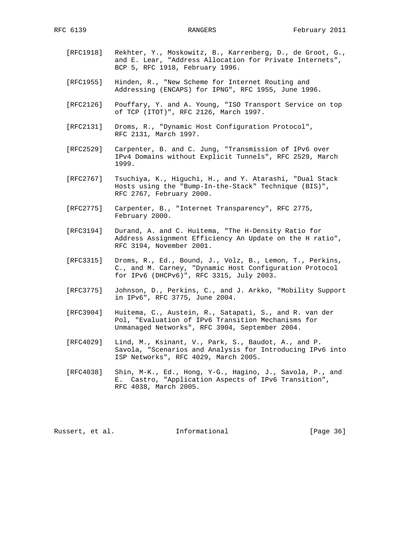- [RFC1918] Rekhter, Y., Moskowitz, B., Karrenberg, D., de Groot, G., and E. Lear, "Address Allocation for Private Internets", BCP 5, RFC 1918, February 1996.
- [RFC1955] Hinden, R., "New Scheme for Internet Routing and Addressing (ENCAPS) for IPNG", RFC 1955, June 1996.
- [RFC2126] Pouffary, Y. and A. Young, "ISO Transport Service on top of TCP (ITOT)", RFC 2126, March 1997.
- [RFC2131] Droms, R., "Dynamic Host Configuration Protocol", RFC 2131, March 1997.
- [RFC2529] Carpenter, B. and C. Jung, "Transmission of IPv6 over IPv4 Domains without Explicit Tunnels", RFC 2529, March 1999.
- [RFC2767] Tsuchiya, K., Higuchi, H., and Y. Atarashi, "Dual Stack Hosts using the "Bump-In-the-Stack" Technique (BIS)", RFC 2767, February 2000.
- [RFC2775] Carpenter, B., "Internet Transparency", RFC 2775, February 2000.
- [RFC3194] Durand, A. and C. Huitema, "The H-Density Ratio for Address Assignment Efficiency An Update on the H ratio", RFC 3194, November 2001.
- [RFC3315] Droms, R., Ed., Bound, J., Volz, B., Lemon, T., Perkins, C., and M. Carney, "Dynamic Host Configuration Protocol for IPv6 (DHCPv6)", RFC 3315, July 2003.
- [RFC3775] Johnson, D., Perkins, C., and J. Arkko, "Mobility Support in IPv6", RFC 3775, June 2004.
- [RFC3904] Huitema, C., Austein, R., Satapati, S., and R. van der Pol, "Evaluation of IPv6 Transition Mechanisms for Unmanaged Networks", RFC 3904, September 2004.
- [RFC4029] Lind, M., Ksinant, V., Park, S., Baudot, A., and P. Savola, "Scenarios and Analysis for Introducing IPv6 into ISP Networks", RFC 4029, March 2005.
- [RFC4038] Shin, M-K., Ed., Hong, Y-G., Hagino, J., Savola, P., and E. Castro, "Application Aspects of IPv6 Transition", RFC 4038, March 2005.

Russert, et al. 1nformational [Page 36]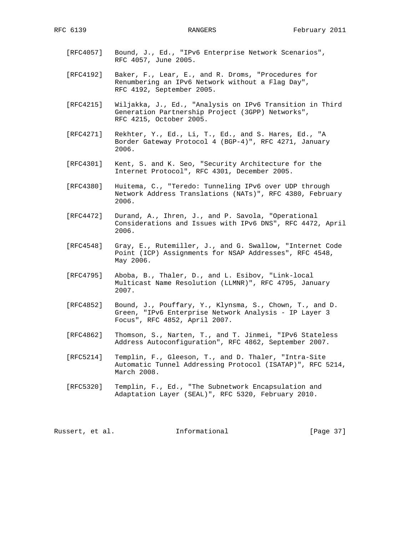- [RFC4057] Bound, J., Ed., "IPv6 Enterprise Network Scenarios", RFC 4057, June 2005.
- [RFC4192] Baker, F., Lear, E., and R. Droms, "Procedures for Renumbering an IPv6 Network without a Flag Day", RFC 4192, September 2005.
- [RFC4215] Wiljakka, J., Ed., "Analysis on IPv6 Transition in Third Generation Partnership Project (3GPP) Networks", RFC 4215, October 2005.
- [RFC4271] Rekhter, Y., Ed., Li, T., Ed., and S. Hares, Ed., "A Border Gateway Protocol 4 (BGP-4)", RFC 4271, January 2006.
- [RFC4301] Kent, S. and K. Seo, "Security Architecture for the Internet Protocol", RFC 4301, December 2005.
- [RFC4380] Huitema, C., "Teredo: Tunneling IPv6 over UDP through Network Address Translations (NATs)", RFC 4380, February 2006.
- [RFC4472] Durand, A., Ihren, J., and P. Savola, "Operational Considerations and Issues with IPv6 DNS", RFC 4472, April 2006.
- [RFC4548] Gray, E., Rutemiller, J., and G. Swallow, "Internet Code Point (ICP) Assignments for NSAP Addresses", RFC 4548, May 2006.
- [RFC4795] Aboba, B., Thaler, D., and L. Esibov, "Link-local Multicast Name Resolution (LLMNR)", RFC 4795, January 2007.
- [RFC4852] Bound, J., Pouffary, Y., Klynsma, S., Chown, T., and D. Green, "IPv6 Enterprise Network Analysis - IP Layer 3 Focus", RFC 4852, April 2007.
- [RFC4862] Thomson, S., Narten, T., and T. Jinmei, "IPv6 Stateless Address Autoconfiguration", RFC 4862, September 2007.
- [RFC5214] Templin, F., Gleeson, T., and D. Thaler, "Intra-Site Automatic Tunnel Addressing Protocol (ISATAP)", RFC 5214, March 2008.
- [RFC5320] Templin, F., Ed., "The Subnetwork Encapsulation and Adaptation Layer (SEAL)", RFC 5320, February 2010.

Russert, et al. 1nformational [Page 37]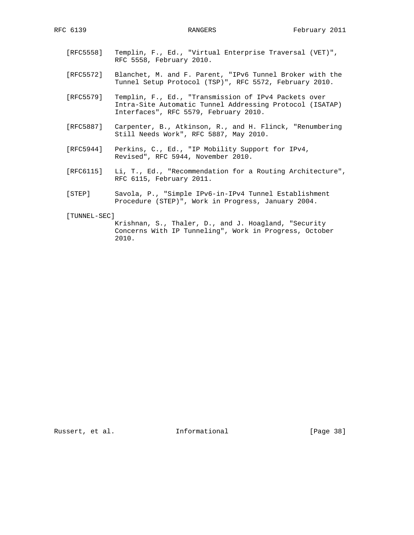- [RFC5558] Templin, F., Ed., "Virtual Enterprise Traversal (VET)", RFC 5558, February 2010.
- [RFC5572] Blanchet, M. and F. Parent, "IPv6 Tunnel Broker with the Tunnel Setup Protocol (TSP)", RFC 5572, February 2010.
- [RFC5579] Templin, F., Ed., "Transmission of IPv4 Packets over Intra-Site Automatic Tunnel Addressing Protocol (ISATAP) Interfaces", RFC 5579, February 2010.
- [RFC5887] Carpenter, B., Atkinson, R., and H. Flinck, "Renumbering Still Needs Work", RFC 5887, May 2010.
- [RFC5944] Perkins, C., Ed., "IP Mobility Support for IPv4, Revised", RFC 5944, November 2010.
	- [RFC6115] Li, T., Ed., "Recommendation for a Routing Architecture", RFC 6115, February 2011.
	- [STEP] Savola, P., "Simple IPv6-in-IPv4 Tunnel Establishment Procedure (STEP)", Work in Progress, January 2004.

[TUNNEL-SEC]

 Krishnan, S., Thaler, D., and J. Hoagland, "Security Concerns With IP Tunneling", Work in Progress, October 2010.

Russert, et al. 100 Informational [Page 38]